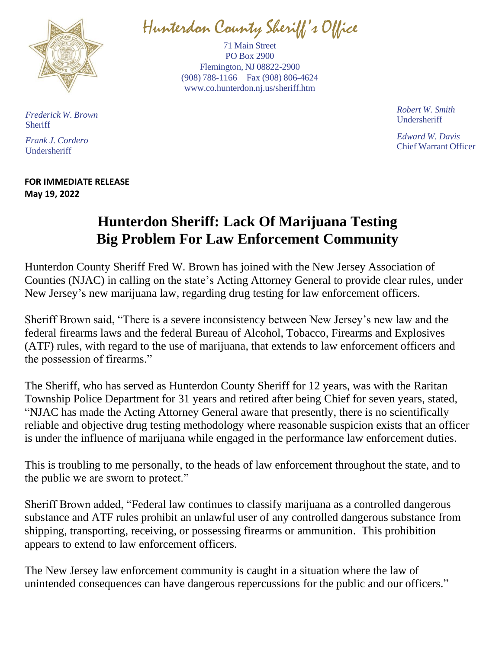

Hunterdon County Sheriff' s Office

71 Main Street PO Box 2900 Flemington, NJ 08822-2900 (908) 788-1166 Fax (908) 806-4624 [www.co.hunterdon.nj.us/sheriff.htm](http://www.co.hunterdon.nj.us/sheriff.htm)

> *Robert W. Smith* Undersheriff

*Edward W. Davis* Chief Warrant Officer

*Frederick W. Brown* **Sheriff** 

*Frank J. Cordero* Undersheriff

## **FOR IMMEDIATE RELEASE May 19, 2022**

## **Hunterdon Sheriff: Lack Of Marijuana Testing Big Problem For Law Enforcement Community**

Hunterdon County Sheriff Fred W. Brown has joined with the New Jersey Association of Counties (NJAC) in calling on the state's Acting Attorney General to provide clear rules, under New Jersey's new marijuana law, regarding drug testing for law enforcement officers.

Sheriff Brown said, "There is a severe inconsistency between New Jersey's new law and the federal firearms laws and the federal Bureau of Alcohol, Tobacco, Firearms and Explosives (ATF) rules, with regard to the use of marijuana, that extends to law enforcement officers and the possession of firearms."

The Sheriff, who has served as Hunterdon County Sheriff for 12 years, was with the Raritan Township Police Department for 31 years and retired after being Chief for seven years, stated, "NJAC has made the Acting Attorney General aware that presently, there is no scientifically reliable and objective drug testing methodology where reasonable suspicion exists that an officer is under the influence of marijuana while engaged in the performance law enforcement duties.

This is troubling to me personally, to the heads of law enforcement throughout the state, and to the public we are sworn to protect."

Sheriff Brown added, "Federal law continues to classify marijuana as a controlled dangerous substance and ATF rules prohibit an unlawful user of any controlled dangerous substance from shipping, transporting, receiving, or possessing firearms or ammunition. This prohibition appears to extend to law enforcement officers.

The New Jersey law enforcement community is caught in a situation where the law of unintended consequences can have dangerous repercussions for the public and our officers."